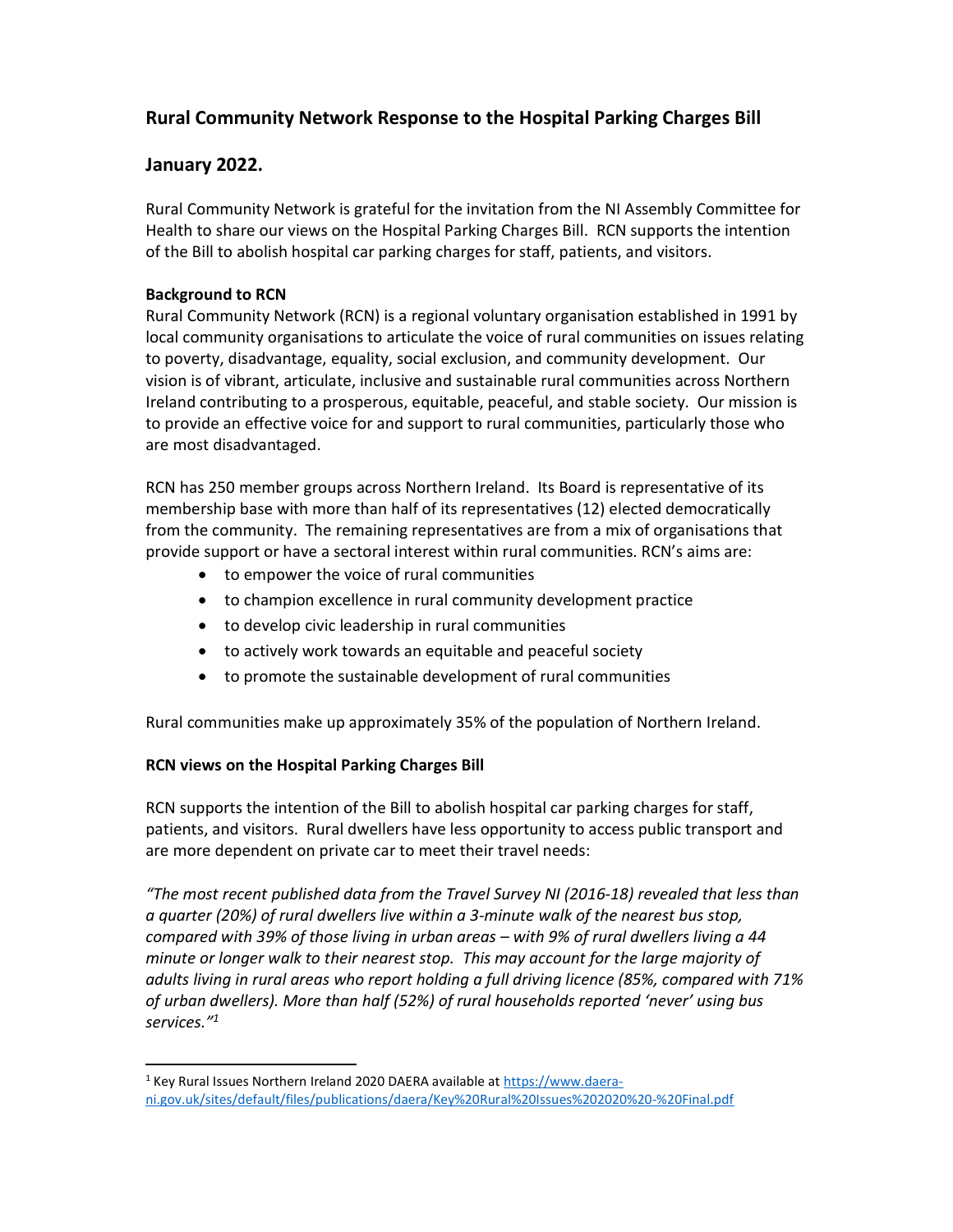## Rural Community Network Response to the Hospital Parking Charges Bill

## January 2022.

Rural Community Network is grateful for the invitation from the NI Assembly Committee for Health to share our views on the Hospital Parking Charges Bill. RCN supports the intention of the Bill to abolish hospital car parking charges for staff, patients, and visitors.

## Background to RCN

Rural Community Network (RCN) is a regional voluntary organisation established in 1991 by local community organisations to articulate the voice of rural communities on issues relating to poverty, disadvantage, equality, social exclusion, and community development. Our vision is of vibrant, articulate, inclusive and sustainable rural communities across Northern Ireland contributing to a prosperous, equitable, peaceful, and stable society. Our mission is to provide an effective voice for and support to rural communities, particularly those who are most disadvantaged.

RCN has 250 member groups across Northern Ireland. Its Board is representative of its membership base with more than half of its representatives (12) elected democratically from the community. The remaining representatives are from a mix of organisations that provide support or have a sectoral interest within rural communities. RCN's aims are:

- to empower the voice of rural communities
- to champion excellence in rural community development practice
- to develop civic leadership in rural communities
- to actively work towards an equitable and peaceful society
- to promote the sustainable development of rural communities

Rural communities make up approximately 35% of the population of Northern Ireland.

## RCN views on the Hospital Parking Charges Bill

RCN supports the intention of the Bill to abolish hospital car parking charges for staff, patients, and visitors. Rural dwellers have less opportunity to access public transport and are more dependent on private car to meet their travel needs:

"The most recent published data from the Travel Survey NI (2016-18) revealed that less than a quarter (20%) of rural dwellers live within a 3-minute walk of the nearest bus stop, compared with 39% of those living in urban areas – with 9% of rural dwellers living a 44 minute or longer walk to their nearest stop. This may account for the large majority of adults living in rural areas who report holding a full driving licence (85%, compared with 71% of urban dwellers). More than half (52%) of rural households reported 'never' using bus services."<sup>1</sup>

<sup>&</sup>lt;sup>1</sup> Key Rural Issues Northern Ireland 2020 DAERA available at https://www.daerani.gov.uk/sites/default/files/publications/daera/Key%20Rural%20Issues%202020%20-%20Final.pdf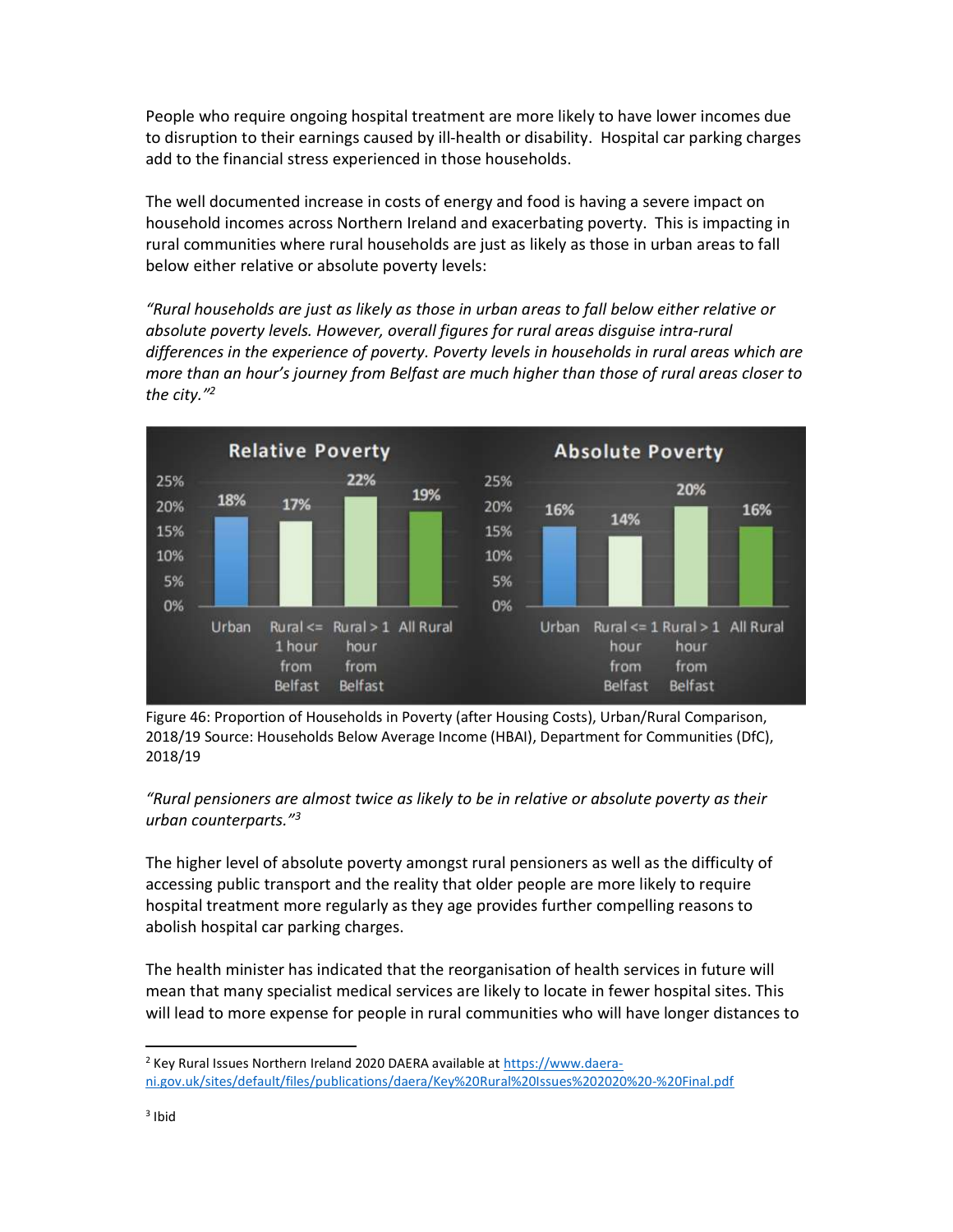People who require ongoing hospital treatment are more likely to have lower incomes due to disruption to their earnings caused by ill-health or disability. Hospital car parking charges add to the financial stress experienced in those households.

The well documented increase in costs of energy and food is having a severe impact on household incomes across Northern Ireland and exacerbating poverty. This is impacting in rural communities where rural households are just as likely as those in urban areas to fall below either relative or absolute poverty levels:

"Rural households are just as likely as those in urban areas to fall below either relative or absolute poverty levels. However, overall figures for rural areas disguise intra-rural differences in the experience of poverty. Poverty levels in households in rural areas which are more than an hour's journey from Belfast are much higher than those of rural areas closer to the city."<sup>2</sup>



Figure 46: Proportion of Households in Poverty (after Housing Costs), Urban/Rural Comparison, 2018/19 Source: Households Below Average Income (HBAI), Department for Communities (DfC), 2018/19

"Rural pensioners are almost twice as likely to be in relative or absolute poverty as their urban counterparts."<sup>3</sup>

The higher level of absolute poverty amongst rural pensioners as well as the difficulty of accessing public transport and the reality that older people are more likely to require hospital treatment more regularly as they age provides further compelling reasons to abolish hospital car parking charges.

The health minister has indicated that the reorganisation of health services in future will mean that many specialist medical services are likely to locate in fewer hospital sites. This will lead to more expense for people in rural communities who will have longer distances to

<sup>&</sup>lt;sup>2</sup> Key Rural Issues Northern Ireland 2020 DAERA available at https://www.daerani.gov.uk/sites/default/files/publications/daera/Key%20Rural%20Issues%202020%20-%20Final.pdf